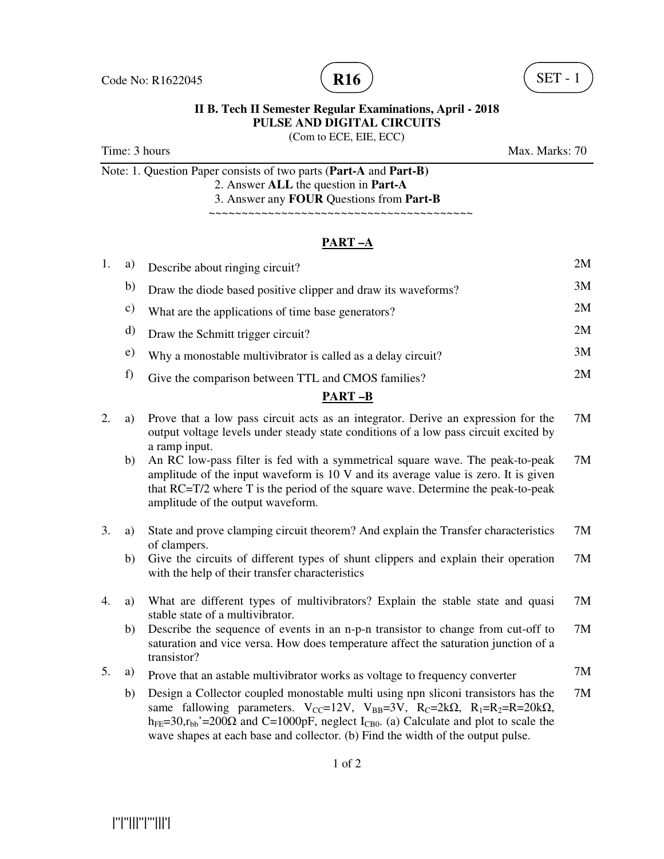



(Com to ECE, EIE, ECC)

Time: 3 hours Max. Marks: 70

Note: 1. Question Paper consists of two parts (**Part-A** and **Part-B)** 2. Answer **ALL** the question in **Part-A**

 3. Answer any **FOUR** Questions from **Part-B** ~~~~~~~~~~~~~~~~~

## **PART –A**

| 1. | a) | Describe about ringing circuit?                               | 2M |
|----|----|---------------------------------------------------------------|----|
|    | b) | Draw the diode based positive clipper and draw its waveforms? | 3M |
|    | C) | What are the applications of time base generators?            | 2M |
|    | d) | Draw the Schmitt trigger circuit?                             | 2M |
|    | e) | Why a monostable multivibrator is called as a delay circuit?  | 3M |
|    |    | Give the comparison between TTL and CMOS families?            | 2M |
|    |    | PART –B                                                       |    |

# 2. a) Prove that a low pass circuit acts as an integrator. Derive an expression for the

- output voltage levels under steady state conditions of a low pass circuit excited by a ramp input. 7M b) An RC low-pass filter is fed with a symmetrical square wave. The peak-to-peak amplitude of the input waveform is 10 V and its average value is zero. It is given that RC=T/2 where T is the period of the square wave. Determine the peak-to-peak amplitude of the output waveform. 7M
- 3. a) State and prove clamping circuit theorem? And explain the Transfer characteristics of clampers. 7M
	- b) Give the circuits of different types of shunt clippers and explain their operation with the help of their transfer characteristics 7M
- 4. a) What are different types of multivibrators? Explain the stable state and quasi stable state of a multivibrator. 7M
	- b) Describe the sequence of events in an n-p-n transistor to change from cut-off to saturation and vice versa. How does temperature affect the saturation junction of a transistor? 7M
- 5. a) Prove that an astable multivibrator works as voltage to frequency converter 7M
	- b) Design a Collector coupled monostable multi using npn sliconi transistors has the same fallowing parameters.  $V_{CC} = 12V$ ,  $V_{BB} = 3V$ ,  $R_C = 2k\Omega$ ,  $R_1 = R_2 = R = 20k\Omega$ ,  $h_{FE}=30, r_{bb'}=200\Omega$  and C=1000pF, neglect  $I_{CB0}$ . (a) Calculate and plot to scale the wave shapes at each base and collector. (b) Find the width of the output pulse. 7M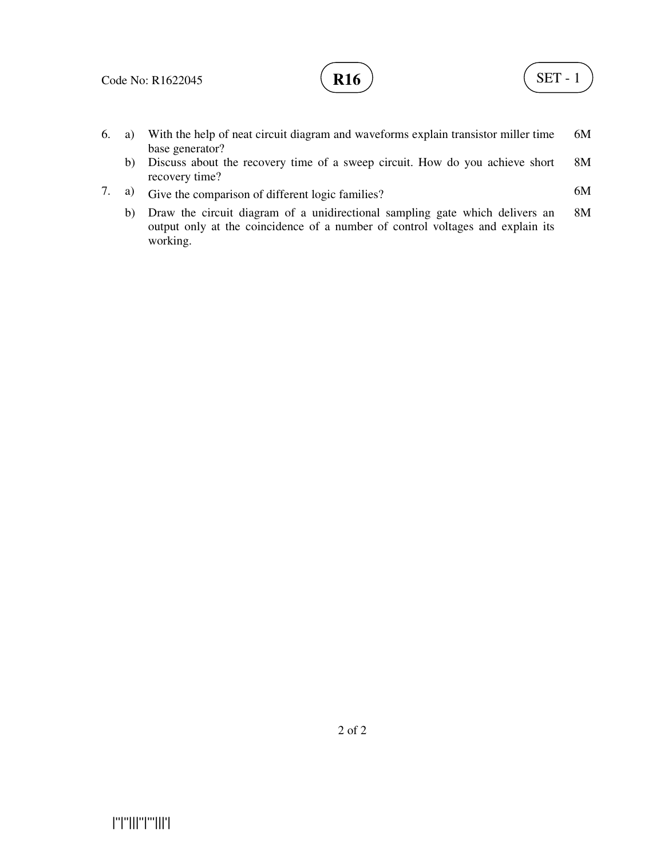

- 6. a) With the help of neat circuit diagram and waveforms explain transistor miller time base generator? 6M
	- b) Discuss about the recovery time of a sweep circuit. How do you achieve short recovery time? 8M
- 7. a) Give the comparison of different logic families? 6M
	- b) Draw the circuit diagram of a unidirectional sampling gate which delivers an output only at the coincidence of a number of control voltages and explain its working. 8M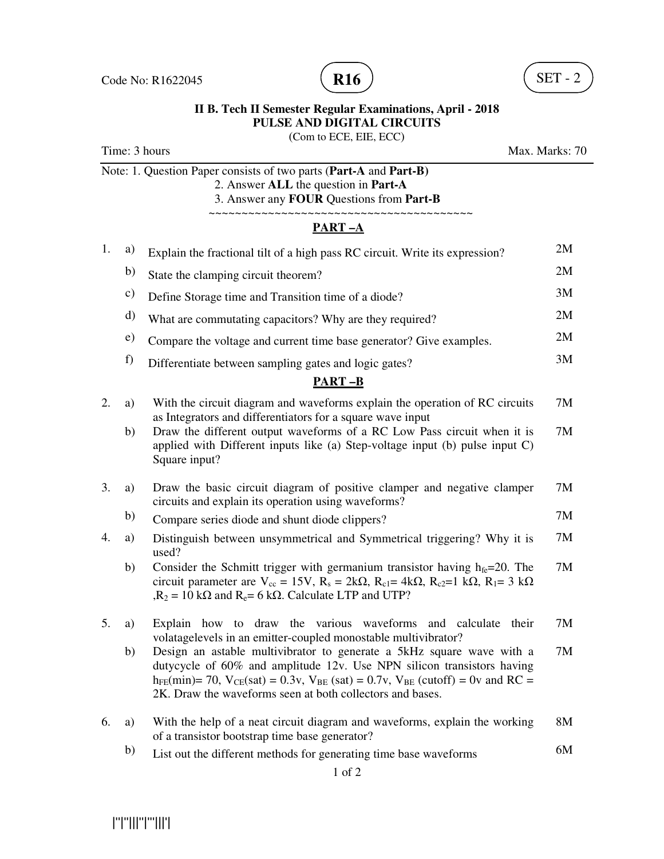

(Com to ECE, EIE, ECC)

Note: 1. Question Paper consists of two parts (**Part-A** and **Part-B)** 2. Answer **ALL** the question in **Part-A**

3. Answer any **FOUR** Questions from **Part-B**

### ~~~~~~~~~~~~~~~~~~~~~~~~~~~~~~~~~~~~~~~~ **PART –A**

| 1. | a) | Explain the fractional tilt of a high pass RC circuit. Write its expression?                                                                                                                                                                                                                                      | 2M |
|----|----|-------------------------------------------------------------------------------------------------------------------------------------------------------------------------------------------------------------------------------------------------------------------------------------------------------------------|----|
|    | b) | State the clamping circuit theorem?                                                                                                                                                                                                                                                                               | 2M |
|    | c) | Define Storage time and Transition time of a diode?                                                                                                                                                                                                                                                               | 3M |
|    | d) | What are commutating capacitors? Why are they required?                                                                                                                                                                                                                                                           | 2M |
|    | e) | Compare the voltage and current time base generator? Give examples.                                                                                                                                                                                                                                               | 2M |
|    | f) | Differentiate between sampling gates and logic gates?                                                                                                                                                                                                                                                             | 3M |
|    |    | <b>PART-B</b>                                                                                                                                                                                                                                                                                                     |    |
| 2. | a) | With the circuit diagram and waveforms explain the operation of RC circuits<br>as Integrators and differentiators for a square wave input                                                                                                                                                                         | 7M |
|    | b) | Draw the different output waveforms of a RC Low Pass circuit when it is<br>applied with Different inputs like (a) Step-voltage input (b) pulse input $C$ )<br>Square input?                                                                                                                                       | 7M |
| 3. | a) | Draw the basic circuit diagram of positive clamper and negative clamper<br>circuits and explain its operation using waveforms?                                                                                                                                                                                    | 7M |
|    | b) | Compare series diode and shunt diode clippers?                                                                                                                                                                                                                                                                    | 7M |
| 4. | a) | Distinguish between unsymmetrical and Symmetrical triggering? Why it is<br>used?                                                                                                                                                                                                                                  | 7M |
|    | b) | Consider the Schmitt trigger with germanium transistor having $h_{fe} = 20$ . The<br>circuit parameter are $V_{cc} = 15V$ , $R_s = 2k\Omega$ , $R_{c1} = 4k\Omega$ , $R_{c2} = 1 k\Omega$ , $R_1 = 3 k\Omega$<br>$R_2 = 10 \text{ k}\Omega$ and $R_e = 6 \text{ k}\Omega$ . Calculate LTP and UTP?                | 7M |
| 5. | a) | Explain how to draw the various waveforms<br>and calculate<br>their<br>volatagelevels in an emitter-coupled monostable multivibrator?                                                                                                                                                                             | 7M |
|    | b) | Design an astable multivibrator to generate a 5kHz square wave with a<br>dutycycle of 60% and amplitude 12v. Use NPN silicon transistors having<br>$h_{FE}(min) = 70$ , $V_{CE}(sat) = 0.3v$ , $V_{BE}(sat) = 0.7v$ , $V_{BE}(cutoff) = 0v$ and RC =<br>2K. Draw the waveforms seen at both collectors and bases. | 7M |
| 6. | a) | With the help of a neat circuit diagram and waveforms, explain the working<br>of a transistor bootstrap time base generator?                                                                                                                                                                                      | 8M |
|    | b) | List out the different methods for generating time base waveforms                                                                                                                                                                                                                                                 | 6M |

|''|''|||''|'''|||'|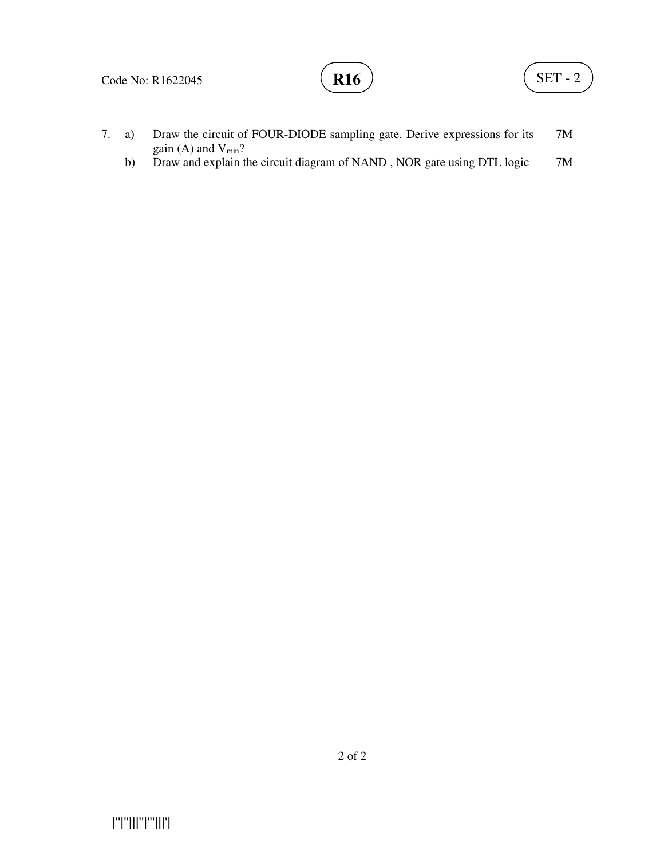### Code No: R1622045

# **R16**  $\left( \text{SET - 2} \right)$

- 7. a) Draw the circuit of FOUR-DIODE sampling gate. Derive expressions for its gain (A) and  $V_{min}$ ? 7M
	- b) Draw and explain the circuit diagram of NAND, NOR gate using DTL logic 7M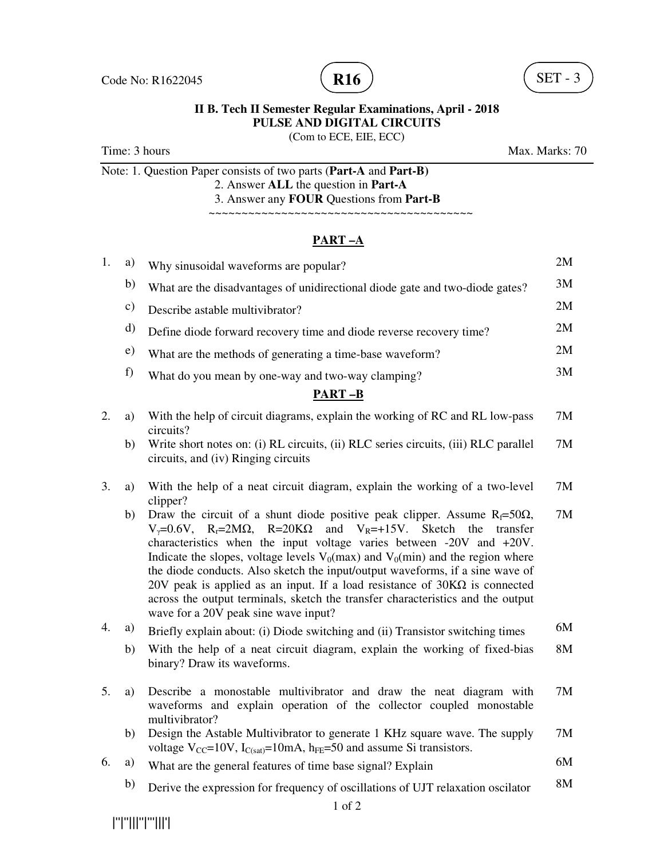



(Com to ECE, EIE, ECC)

Time: 3 hours Max. Marks: 70

Note: 1. Question Paper consists of two parts (**Part-A** and **Part-B)** 2. Answer **ALL** the question in **Part-A**

3. Answer any **FOUR** Questions from **Part-B**

~~~~~~~~~~~~~~~~~~~~~~~~~~~~~~~~~~~~~~~~

# **PART –A**

| 1.               | a)            | Why sinusoidal waveforms are popular?                                                                                                                                                                                                                                                                                                                                                                                                                                                                                                                                                                                                                                  | 2M |
|------------------|---------------|------------------------------------------------------------------------------------------------------------------------------------------------------------------------------------------------------------------------------------------------------------------------------------------------------------------------------------------------------------------------------------------------------------------------------------------------------------------------------------------------------------------------------------------------------------------------------------------------------------------------------------------------------------------------|----|
|                  | b)            | What are the disadvantages of unidirectional diode gate and two-diode gates?                                                                                                                                                                                                                                                                                                                                                                                                                                                                                                                                                                                           | 3M |
|                  | $\mathbf{c})$ | Describe astable multivibrator?                                                                                                                                                                                                                                                                                                                                                                                                                                                                                                                                                                                                                                        | 2M |
|                  | $\mathbf{d}$  | Define diode forward recovery time and diode reverse recovery time?                                                                                                                                                                                                                                                                                                                                                                                                                                                                                                                                                                                                    | 2M |
|                  | e)            | What are the methods of generating a time-base waveform?                                                                                                                                                                                                                                                                                                                                                                                                                                                                                                                                                                                                               | 2M |
|                  | f)            | What do you mean by one-way and two-way clamping?                                                                                                                                                                                                                                                                                                                                                                                                                                                                                                                                                                                                                      | 3M |
|                  |               | <b>PART-B</b>                                                                                                                                                                                                                                                                                                                                                                                                                                                                                                                                                                                                                                                          |    |
| 2.               | a)            | With the help of circuit diagrams, explain the working of RC and RL low-pass<br>circuits?                                                                                                                                                                                                                                                                                                                                                                                                                                                                                                                                                                              | 7M |
|                  | b)            | Write short notes on: (i) RL circuits, (ii) RLC series circuits, (iii) RLC parallel<br>circuits, and (iv) Ringing circuits                                                                                                                                                                                                                                                                                                                                                                                                                                                                                                                                             | 7M |
| 3.               | a)            | With the help of a neat circuit diagram, explain the working of a two-level<br>clipper?                                                                                                                                                                                                                                                                                                                                                                                                                                                                                                                                                                                | 7M |
|                  | b)            | Draw the circuit of a shunt diode positive peak clipper. Assume $R_f = 50\Omega$ ,<br>$V_y=0.6V$ , R <sub>r</sub> =2M $\Omega$ , R=20K $\Omega$ and V <sub>R</sub> =+15V. Sketch the<br>transfer<br>characteristics when the input voltage varies between $-20V$ and $+20V$ .<br>Indicate the slopes, voltage levels $V_0$ (max) and $V_0$ (min) and the region where<br>the diode conducts. Also sketch the input/output waveforms, if a sine wave of<br>20V peak is applied as an input. If a load resistance of $30K\Omega$ is connected<br>across the output terminals, sketch the transfer characteristics and the output<br>wave for a 20V peak sine wave input? | 7M |
| $\overline{4}$ . | a)            | Briefly explain about: (i) Diode switching and (ii) Transistor switching times                                                                                                                                                                                                                                                                                                                                                                                                                                                                                                                                                                                         | 6M |
|                  | b)            | With the help of a neat circuit diagram, explain the working of fixed-bias<br>binary? Draw its waveforms.                                                                                                                                                                                                                                                                                                                                                                                                                                                                                                                                                              | 8M |
| 5.               | a)            | Describe a monostable multivibrator and draw the neat diagram with<br>waveforms and explain operation of the collector coupled monostable<br>multivibrator?                                                                                                                                                                                                                                                                                                                                                                                                                                                                                                            | 7M |
|                  | b)            | Design the Astable Multivibrator to generate 1 KHz square wave. The supply<br>voltage $V_{CC}$ =10V, $I_{C(sat)}$ =10mA, $h_{FE}$ =50 and assume Si transistors.                                                                                                                                                                                                                                                                                                                                                                                                                                                                                                       | 7M |
| 6.               | a)            | What are the general features of time base signal? Explain                                                                                                                                                                                                                                                                                                                                                                                                                                                                                                                                                                                                             | 6M |
|                  | b)            | Derive the expression for frequency of oscillations of UJT relaxation oscilator                                                                                                                                                                                                                                                                                                                                                                                                                                                                                                                                                                                        | 8M |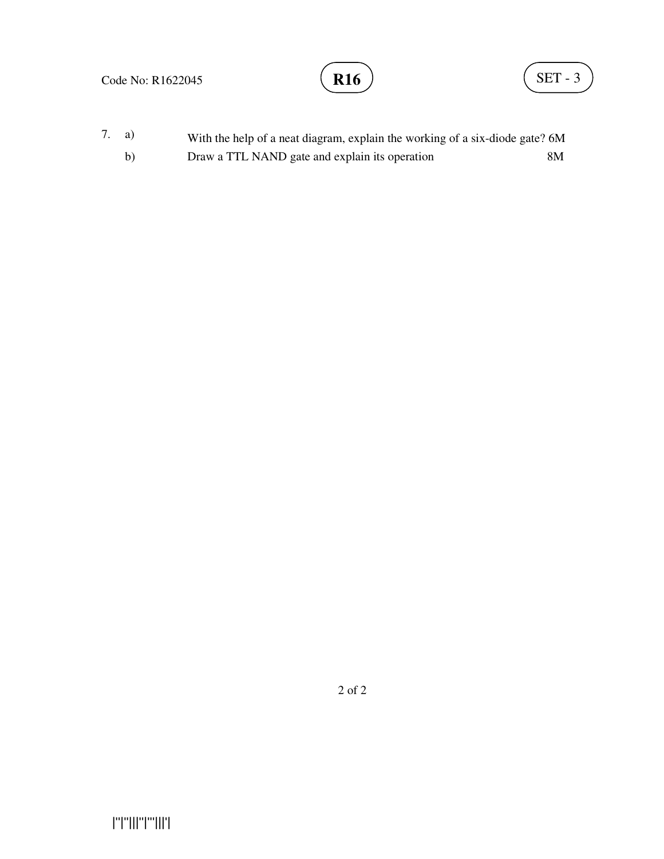## Code No: R1622045

7. a) With the help of a neat diagram, explain the working of a six-diode gate? 6M b) Draw a TTL NAND gate and explain its operation 8M

2 of 2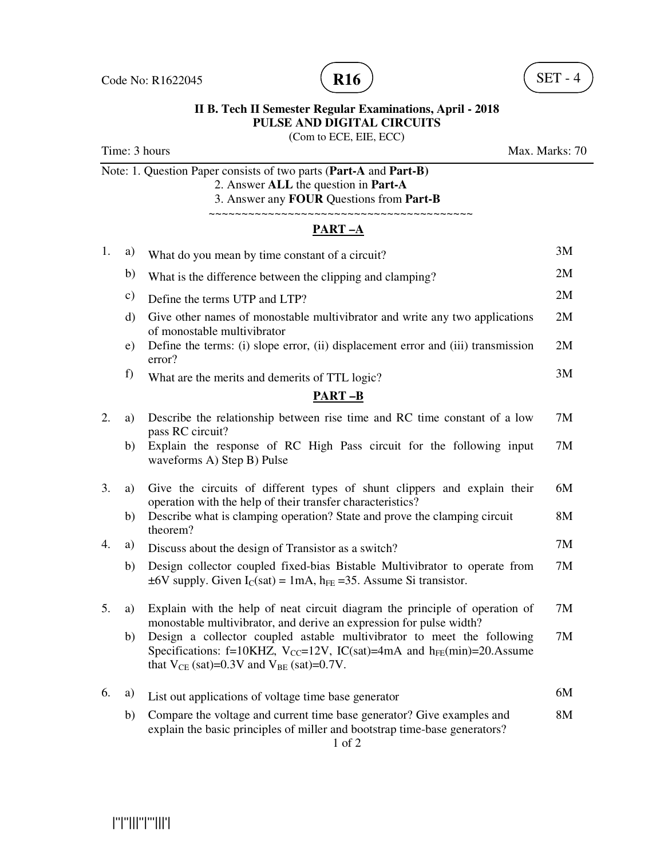

(Com to ECE, EIE, ECC)

Time: 3 hours Max. Marks: 70 Note: 1. Question Paper consists of two parts (**Part-A** and **Part-B)** 2. Answer **ALL** the question in **Part-A** 3. Answer any **FOUR** Questions from **Part-B** ~~~~~~~~~~~~~~~~~~~~~~~~~~~~~~~~~~~~~~~~ **PART –A** 1. a) What do you mean by time constant of a circuit? 3M b) What is the difference between the clipping and clamping? 2M c) Define the terms UTP and LTP? 2M d) Give other names of monostable multivibrator and write any two applications of monostable multivibrator 2M e) Define the terms: (i) slope error, (ii) displacement error and (iii) transmission error? 2M f) What are the merits and demerits of TTL logic? 3M **PART –B** 2. a) Describe the relationship between rise time and RC time constant of a low pass RC circuit? 7M b) Explain the response of RC High Pass circuit for the following input waveforms A) Step B) Pulse 7M 3. a) Give the circuits of different types of shunt clippers and explain their operation with the help of their transfer characteristics? 6M b) Describe what is clamping operation? State and prove the clamping circuit theorem? 8M 4. a) Discuss about the design of Transistor as a switch? 7M b) Design collector coupled fixed-bias Bistable Multivibrator to operate from  $\pm 6V$  supply. Given  $I_C(sat) = 1mA$ ,  $h_{FF} = 35$ . Assume Si transistor. 7M 5. a) Explain with the help of neat circuit diagram the principle of operation of monostable multivibrator, and derive an expression for pulse width? 7M b) Design a collector coupled astable multivibrator to meet the following Specifications: f=10KHZ,  $V_{CC}$ =12V, IC(sat)=4mA and h<sub>FE</sub>(min)=20.Assume that  $V_{CE}$  (sat)=0.3V and  $V_{BE}$  (sat)=0.7V. 7M 6. a) List out applications of voltage time base generator 6M b) Compare the voltage and current time base generator? Give examples and explain the basic principles of miller and bootstrap time-base generators? 8M

1 of 2